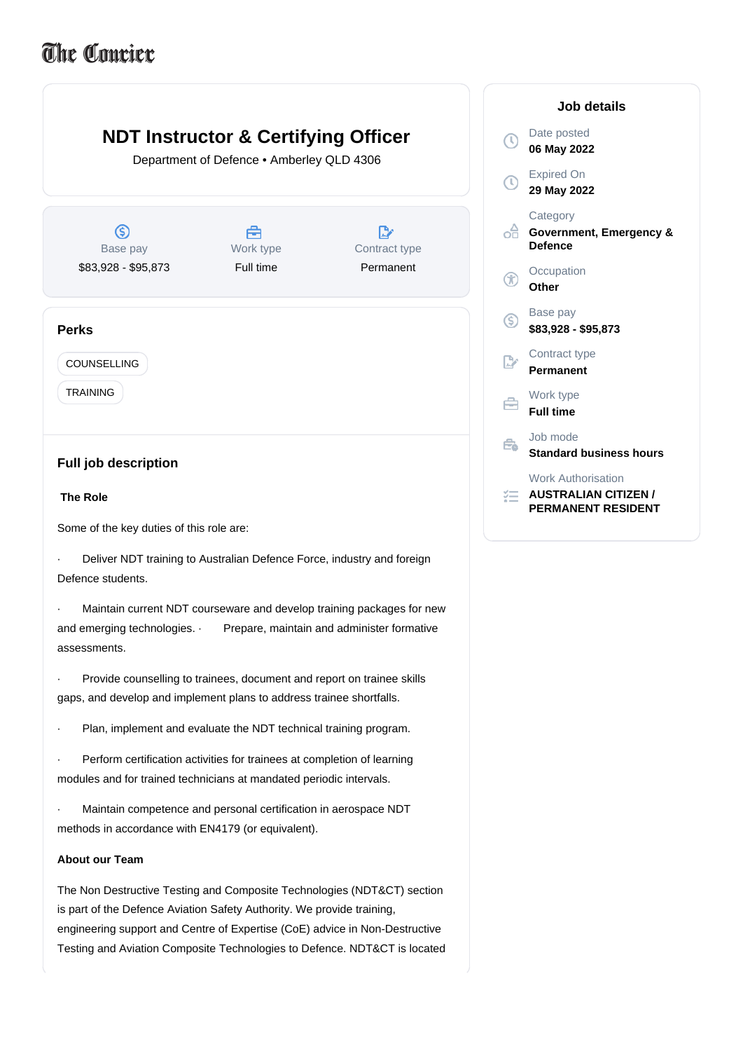## The Courier



The Non Destructive Testing and Composite Technologies (NDT&CT) section is part of the Defence Aviation Safety Authority. We provide training, engineering support and Centre of Expertise (CoE) advice in Non-Destructive Testing and Aviation Composite Technologies to Defence. NDT&CT is located